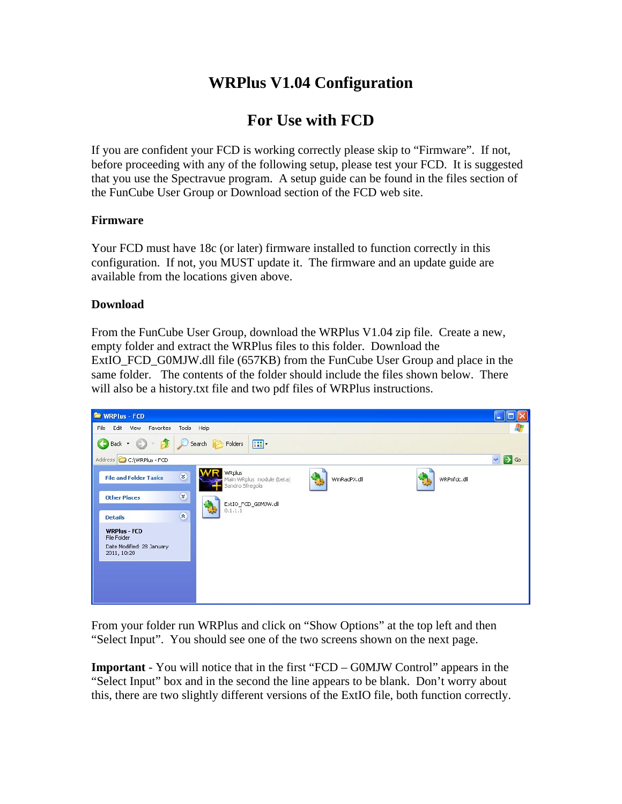# **WRPlus V1.04 Configuration**

# **For Use with FCD**

If you are confident your FCD is working correctly please skip to "Firmware". If not, before proceeding with any of the following setup, please test your FCD. It is suggested that you use the Spectravue program. A setup guide can be found in the files section of the FunCube User Group or Download section of the FCD web site.

### **Firmware**

Your FCD must have 18c (or later) firmware installed to function correctly in this configuration. If not, you MUST update it. The firmware and an update guide are available from the locations given above.

### **Download**

From the FunCube User Group, download the WRPlus V1.04 zip file. Create a new, empty folder and extract the WRPlus files to this folder. Download the ExtIO\_FCD\_G0MJW.dll file (657KB) from the FunCube User Group and place in the same folder. The contents of the folder should include the files shown below. There will also be a history.txt file and two pdf files of WRPlus instructions.



From your folder run WRPlus and click on "Show Options" at the top left and then "Select Input". You should see one of the two screens shown on the next page.

**Important** - You will notice that in the first "FCD – G0MJW Control" appears in the "Select Input" box and in the second the line appears to be blank. Don't worry about this, there are two slightly different versions of the ExtIO file, both function correctly.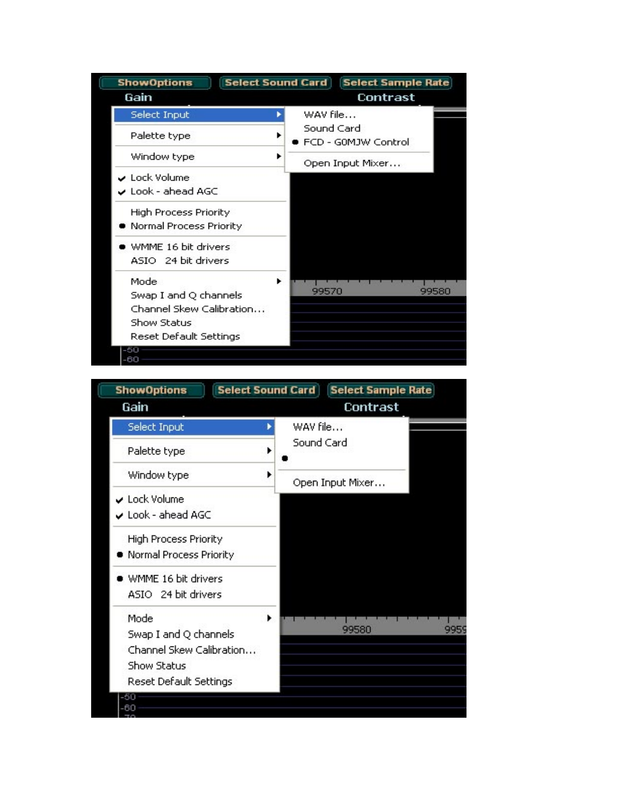| Contrast                            |
|-------------------------------------|
| WAV file                            |
| Sound Card<br>▶ FCD - G0MJW Control |
| Open Input Mixer                    |
|                                     |
|                                     |
| 99570<br>99580                      |
|                                     |

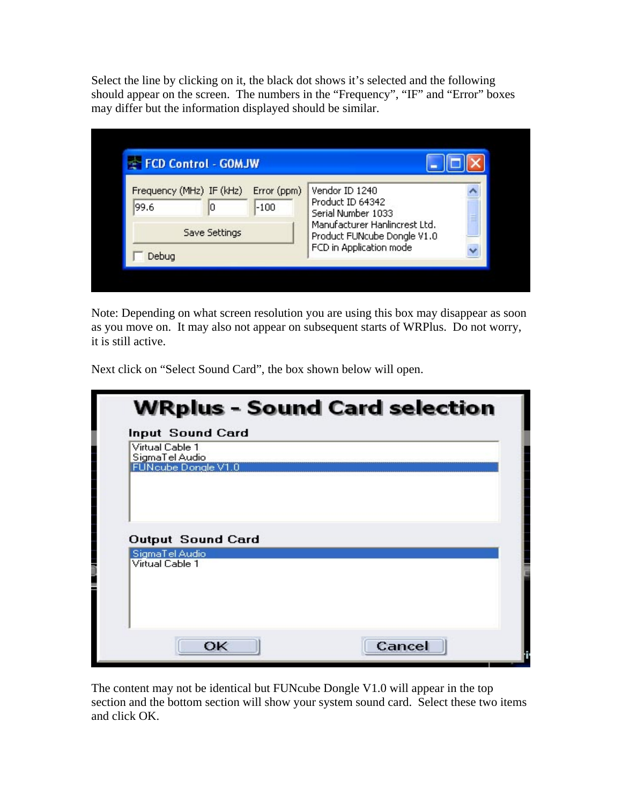Select the line by clicking on it, the black dot shows it's selected and the following should appear on the screen. The numbers in the "Frequency", "IF" and "Error" boxes may differ but the information displayed should be similar.

| FCD Control - GOMJW      |                               |
|--------------------------|-------------------------------|
| Frequency (MHz) IF (kHz) | Vendor ID 1240                |
| Error (ppm)              | Product ID 64342              |
| 99.6                     | Serial Number 1033            |
| $-100$                   | ≣                             |
| lū                       | Manufacturer Hanlincrest Ltd. |
| Save Settings            | Product FUNcube Dongle V1.0   |
| Debug                    | FCD in Application mode       |

Note: Depending on what screen resolution you are using this box may disappear as soon as you move on. It may also not appear on subsequent starts of WRPlus. Do not worry, it is still active.

Next click on "Select Sound Card", the box shown below will open.

| Virtual Cable 1<br>SigmaTel Audio |  |
|-----------------------------------|--|
| FUNcube Dongle V1.0               |  |
| <b>Output Sound Card</b>          |  |
| SigmaTel Audio                    |  |
| Virtual Cable 1                   |  |

The content may not be identical but FUNcube Dongle V1.0 will appear in the top section and the bottom section will show your system sound card. Select these two items and click OK.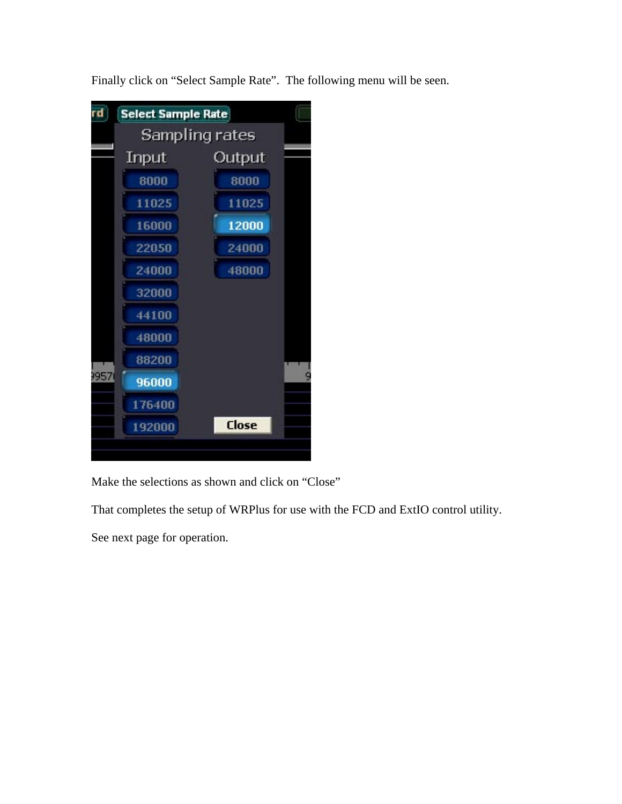

Finally click on "Select Sample Rate". The following menu will be seen.

Make the selections as shown and click on "Close"

That completes the setup of WRPlus for use with the FCD and ExtIO control utility.

See next page for operation.